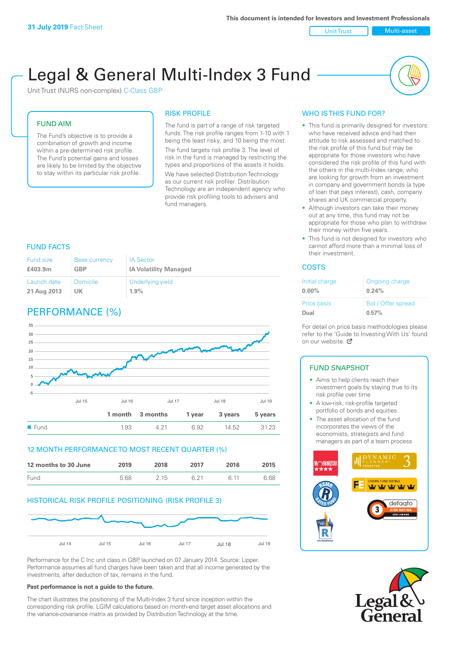Unit Trust Multi-asset

# Legal & General Multi-Index 3 Fund

Unit Trust (NURS non-complex) C-Class GBP

#### FUND AIM

The Fund's objective is to provide a combination of growth and income within a pre-determined risk profile. The Fund's potential gains and losses are likely to be limited by the objective to stay within its particular risk profile.

#### RISK PROFILE

The fund is part of a range of risk targeted funds. The risk profile ranges from 1-10 with 1 being the least risky, and 10 being the most. The fund targets risk profile 3. The level of risk in the fund is managed by restricting the types and proportions of the assets it holds.

We have selected Distribution Technology as our current risk profiler. Distribution Technology are an independent agency who provide risk profiling tools to advisers and fund managers.

#### FUND FACTS

| Fund size   | <b>Base currency</b> | <b>IA Sector</b>             |
|-------------|----------------------|------------------------------|
| £403.9m     | <b>GBP</b>           | <b>IA Volatility Managed</b> |
| Launch date | <b>Domicile</b>      | Underlying yield             |
| 21 Aug 2013 | UK                   | 1.9%                         |

# PERFORMANCE (%)



#### 12 MONTH PERFORMANCE TO MOST RECENT QUARTER (%)

| 12 months to 30 June | 2019 | 2018 | 2017 | 2016 | 2015 |
|----------------------|------|------|------|------|------|
| Fund                 | 5.68 | 2 15 | 6 21 | G 11 | 6.68 |

#### HISTORICAL RISK PROFILE POSITIONING (RISK PROFILE 3)



Performance for the C Inc unit class in GBP, launched on 07 January 2014. Source: Lipper. Performance assumes all fund charges have been taken and that all income generated by the investments, after deduction of tax, remains in the fund.

#### **Past performance is not a guide to the future.**

The chart illustrates the positioning of the Multi-Index 3 fund since inception within the corresponding risk profile. LGIM calculations based on month-end target asset allocations and the variance-covariance matrix as provided by Distribution Technology at the time.

## WHO IS THIS FUND FOR?

- This fund is primarily designed for investors: who have received advice and had their attitude to risk assessed and matched to the risk profile of this fund but may be appropriate for those investors who have considered the risk profile of this fund with the others in the multi-Index range; who are looking for growth from an investment in company and government bonds (a type of loan that pays interest), cash, company shares and UK commercial property.
- Although investors can take their money out at any time, this fund may not be appropriate for those who plan to withdraw their money within five years.
- This fund is not designed for investors who cannot afford more than a minimal loss of their investment.

#### COSTS

| Initial charge | Ongoing charge     |
|----------------|--------------------|
| $0.00\%$       | 0.24%              |
| Price basis    | Bid / Offer spread |
| Dual           | 0.57%              |

For detail on price basis methodologies please refer to the 'Guide to Investing With Us' found on our website. Ø

## FUND SNAPSHOT

- Aims to help clients reach their investment goals by staying true to its risk profile over time
- A low-risk, risk-profile targeted portfolio of bonds and equities
- The asset allocation of the fund incorporates the views of the economists, strategists and fund managers as part of a team process



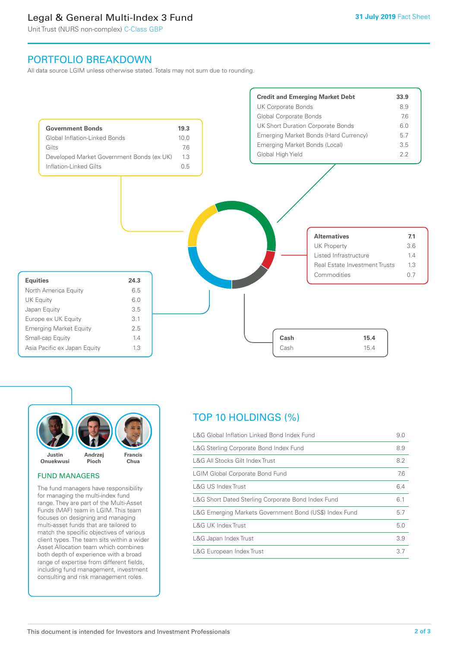# Legal & General Multi-Index 3 Fund

Unit Trust (NURS non-complex) C-Class GBP

## PORTFOLIO BREAKDOWN

All data source LGIM unless otherwise stated. Totals may not sum due to rounding.





#### FUND MANAGERS

The fund managers have responsibility for managing the multi-index fund range. They are part of the Multi-Asset Funds (MAF) team in LGIM. This team focuses on designing and managing multi-asset funds that are tailored to match the specific objectives of various client types. The team sits within a wider Asset Allocation team which combines both depth of experience with a broad range of expertise from different fields, including fund management, investment consulting and risk management roles.

# TOP 10 HOLDINGS (%)

| L&G Global Inflation Linked Bond Index Fund            | 9.0 |
|--------------------------------------------------------|-----|
| L&G Sterling Corporate Bond Index Fund                 | 8.9 |
| L&G All Stocks Gilt Index Trust                        | 8.2 |
| <b>LGIM Global Corporate Bond Fund</b>                 | 7.6 |
| L&G US Index Trust                                     | 6.4 |
| L&G Short Dated Sterling Corporate Bond Index Fund     | 6.1 |
| L&G Emerging Markets Government Bond (US\$) Index Fund | 5.7 |
| L&G UK Index Trust                                     | 5.0 |
| L&G Japan Index Trust                                  | 3.9 |
| L&G European Index Trust                               | 3.7 |